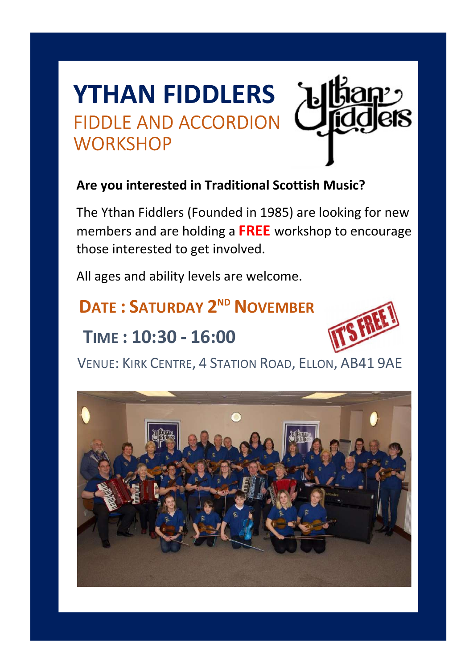# YTHAN FIDDLERS FIDDLE AND ACCORDION **WORKSHOP**



### Are you interested in Traditional Scottish Music?

 The Ythan Fiddlers (Founded in 1985) are looking for new members and are holding a FREE workshop to encourage those interested to get involved.

All ages and ability levels are welcome.

### DATE: SATURDAY 2<sup>ND</sup> NOVEMBER

### TIME : 10:30 - 16:00



VENUE: KIRK CENTRE, 4 STATION ROAD, ELLON, AB41 9AE